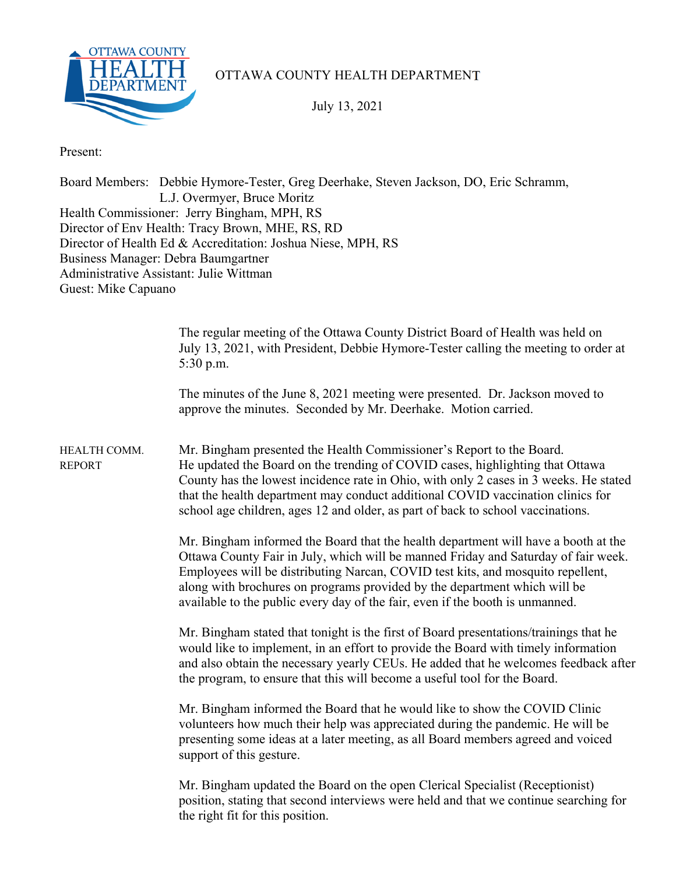

## OTTAWA COUNTY HEALTH DEPARTMENT

July 13, 2021

Present:

Board Members: Debbie Hymore-Tester, Greg Deerhake, Steven Jackson, DO, Eric Schramm, L.J. Overmyer, Bruce Moritz Health Commissioner: Jerry Bingham, MPH, RS Director of Env Health: Tracy Brown, MHE, RS, RD Director of Health Ed & Accreditation: Joshua Niese, MPH, RS Business Manager: Debra Baumgartner Administrative Assistant: Julie Wittman Guest: Mike Capuano

|                               | The regular meeting of the Ottawa County District Board of Health was held on<br>July 13, 2021, with President, Debbie Hymore-Tester calling the meeting to order at<br>$5:30$ p.m.                                                                                                                                                                                                                                       |
|-------------------------------|---------------------------------------------------------------------------------------------------------------------------------------------------------------------------------------------------------------------------------------------------------------------------------------------------------------------------------------------------------------------------------------------------------------------------|
|                               | The minutes of the June 8, 2021 meeting were presented. Dr. Jackson moved to<br>approve the minutes. Seconded by Mr. Deerhake. Motion carried.                                                                                                                                                                                                                                                                            |
| HEALTH COMM.<br><b>REPORT</b> | Mr. Bingham presented the Health Commissioner's Report to the Board.<br>He updated the Board on the trending of COVID cases, highlighting that Ottawa<br>County has the lowest incidence rate in Ohio, with only 2 cases in 3 weeks. He stated<br>that the health department may conduct additional COVID vaccination clinics for<br>school age children, ages 12 and older, as part of back to school vaccinations.      |
|                               | Mr. Bingham informed the Board that the health department will have a booth at the<br>Ottawa County Fair in July, which will be manned Friday and Saturday of fair week.<br>Employees will be distributing Narcan, COVID test kits, and mosquito repellent,<br>along with brochures on programs provided by the department which will be<br>available to the public every day of the fair, even if the booth is unmanned. |
|                               | Mr. Bingham stated that tonight is the first of Board presentations/trainings that he<br>would like to implement, in an effort to provide the Board with timely information<br>and also obtain the necessary yearly CEUs. He added that he welcomes feedback after<br>the program, to ensure that this will become a useful tool for the Board.                                                                           |
|                               | Mr. Bingham informed the Board that he would like to show the COVID Clinic<br>volunteers how much their help was appreciated during the pandemic. He will be<br>presenting some ideas at a later meeting, as all Board members agreed and voiced<br>support of this gesture.                                                                                                                                              |
|                               | Mr. Bingham updated the Board on the open Clerical Specialist (Receptionist)<br>position, stating that second interviews were held and that we continue searching for<br>the right fit for this position.                                                                                                                                                                                                                 |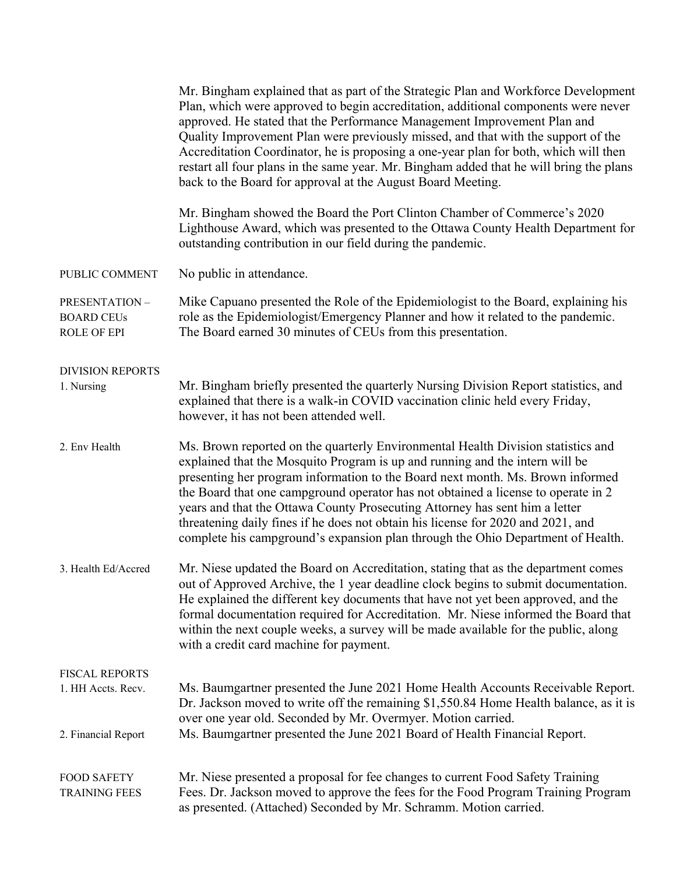|                                                                    | Mr. Bingham explained that as part of the Strategic Plan and Workforce Development<br>Plan, which were approved to begin accreditation, additional components were never<br>approved. He stated that the Performance Management Improvement Plan and<br>Quality Improvement Plan were previously missed, and that with the support of the<br>Accreditation Coordinator, he is proposing a one-year plan for both, which will then<br>restart all four plans in the same year. Mr. Bingham added that he will bring the plans<br>back to the Board for approval at the August Board Meeting.   |
|--------------------------------------------------------------------|-----------------------------------------------------------------------------------------------------------------------------------------------------------------------------------------------------------------------------------------------------------------------------------------------------------------------------------------------------------------------------------------------------------------------------------------------------------------------------------------------------------------------------------------------------------------------------------------------|
|                                                                    | Mr. Bingham showed the Board the Port Clinton Chamber of Commerce's 2020<br>Lighthouse Award, which was presented to the Ottawa County Health Department for<br>outstanding contribution in our field during the pandemic.                                                                                                                                                                                                                                                                                                                                                                    |
| PUBLIC COMMENT                                                     | No public in attendance.                                                                                                                                                                                                                                                                                                                                                                                                                                                                                                                                                                      |
| PRESENTATION-<br><b>BOARD CEUs</b><br><b>ROLE OF EPI</b>           | Mike Capuano presented the Role of the Epidemiologist to the Board, explaining his<br>role as the Epidemiologist/Emergency Planner and how it related to the pandemic.<br>The Board earned 30 minutes of CEUs from this presentation.                                                                                                                                                                                                                                                                                                                                                         |
| <b>DIVISION REPORTS</b><br>1. Nursing                              | Mr. Bingham briefly presented the quarterly Nursing Division Report statistics, and<br>explained that there is a walk-in COVID vaccination clinic held every Friday,<br>however, it has not been attended well.                                                                                                                                                                                                                                                                                                                                                                               |
| 2. Env Health                                                      | Ms. Brown reported on the quarterly Environmental Health Division statistics and<br>explained that the Mosquito Program is up and running and the intern will be<br>presenting her program information to the Board next month. Ms. Brown informed<br>the Board that one campground operator has not obtained a license to operate in 2<br>years and that the Ottawa County Prosecuting Attorney has sent him a letter<br>threatening daily fines if he does not obtain his license for 2020 and 2021, and<br>complete his campground's expansion plan through the Ohio Department of Health. |
| 3. Health Ed/Accred                                                | Mr. Niese updated the Board on Accreditation, stating that as the department comes<br>out of Approved Archive, the 1 year deadline clock begins to submit documentation.<br>He explained the different key documents that have not yet been approved, and the<br>formal documentation required for Accreditation. Mr. Niese informed the Board that<br>within the next couple weeks, a survey will be made available for the public, along<br>with a credit card machine for payment.                                                                                                         |
| <b>FISCAL REPORTS</b><br>1. HH Accts. Recv.<br>2. Financial Report | Ms. Baumgartner presented the June 2021 Home Health Accounts Receivable Report.<br>Dr. Jackson moved to write off the remaining \$1,550.84 Home Health balance, as it is<br>over one year old. Seconded by Mr. Overmyer. Motion carried.<br>Ms. Baumgartner presented the June 2021 Board of Health Financial Report.                                                                                                                                                                                                                                                                         |
| <b>FOOD SAFETY</b><br><b>TRAINING FEES</b>                         | Mr. Niese presented a proposal for fee changes to current Food Safety Training<br>Fees. Dr. Jackson moved to approve the fees for the Food Program Training Program<br>as presented. (Attached) Seconded by Mr. Schramm. Motion carried.                                                                                                                                                                                                                                                                                                                                                      |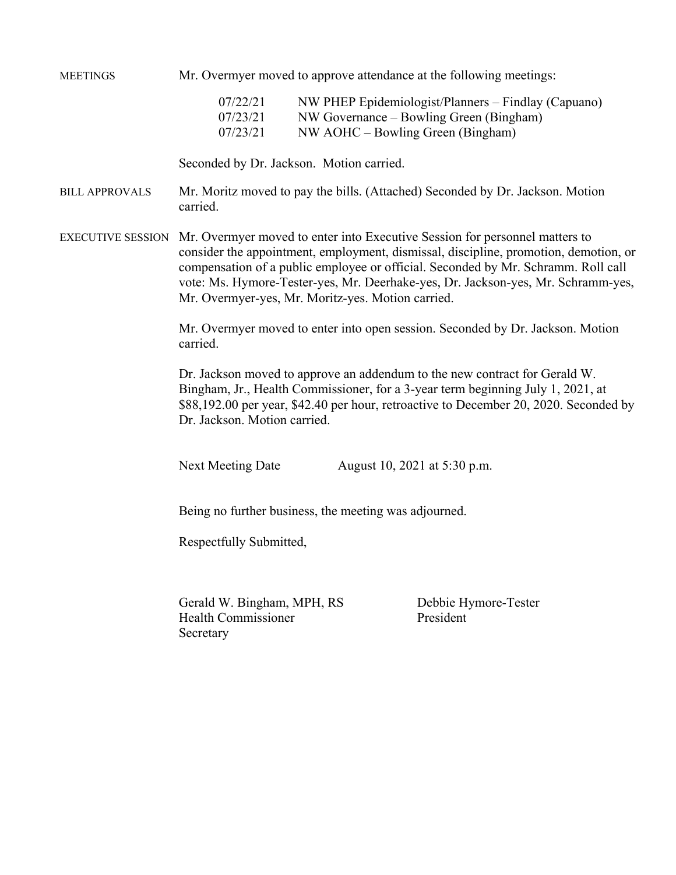MEETINGS Mr. Overmyer moved to approve attendance at the following meetings:

| 07/22/21 | NW PHEP Epidemiologist/Planners – Findlay (Capuano) |
|----------|-----------------------------------------------------|
| 07/23/21 | NW Governance – Bowling Green (Bingham)             |
| 07/23/21 | NW AOHC – Bowling Green (Bingham)                   |

Seconded by Dr. Jackson. Motion carried.

BILL APPROVALS Mr. Moritz moved to pay the bills. (Attached) Seconded by Dr. Jackson. Motion carried.

EXECUTIVE SESSION Mr. Overmyer moved to enter into Executive Session for personnel matters to consider the appointment, employment, dismissal, discipline, promotion, demotion, or compensation of a public employee or official. Seconded by Mr. Schramm. Roll call vote: Ms. Hymore-Tester-yes, Mr. Deerhake-yes, Dr. Jackson-yes, Mr. Schramm-yes, Mr. Overmyer-yes, Mr. Moritz-yes. Motion carried.

> Mr. Overmyer moved to enter into open session. Seconded by Dr. Jackson. Motion carried.

Dr. Jackson moved to approve an addendum to the new contract for Gerald W. Bingham, Jr., Health Commissioner, for a 3-year term beginning July 1, 2021, at \$88,192.00 per year, \$42.40 per hour, retroactive to December 20, 2020. Seconded by Dr. Jackson. Motion carried.

Next Meeting Date August 10, 2021 at 5:30 p.m.

Being no further business, the meeting was adjourned.

Respectfully Submitted,

Gerald W. Bingham, MPH, RS Debbie Hymore-Tester Health Commissioner President Secretary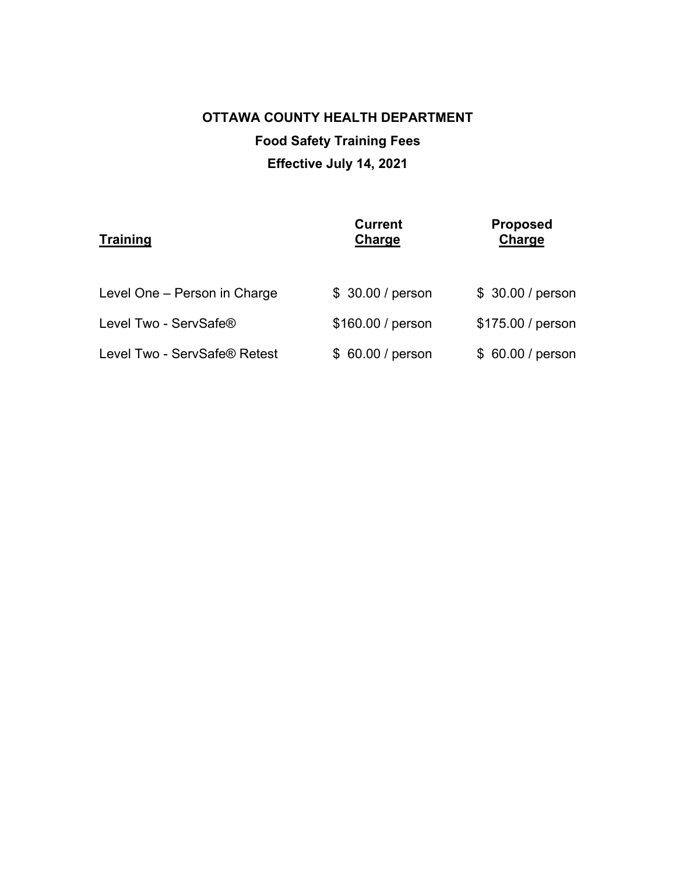## **OTTAWA COUNTY HEALTH DEPARTMENT Food Safety Training Fees Effective July 14, 2021**

| <b>Training</b>              | <b>Current</b><br>Charge | <b>Proposed</b><br>Charge |
|------------------------------|--------------------------|---------------------------|
| Level One - Person in Charge | \$ 30.00 / person        | \$ 30.00 / person         |
| Level Two - ServSafe®        | \$160.00 / person        | \$175.00 / person         |
| Level Two - ServSafe® Retest | \$ 60.00 / person        | \$ 60.00 / person         |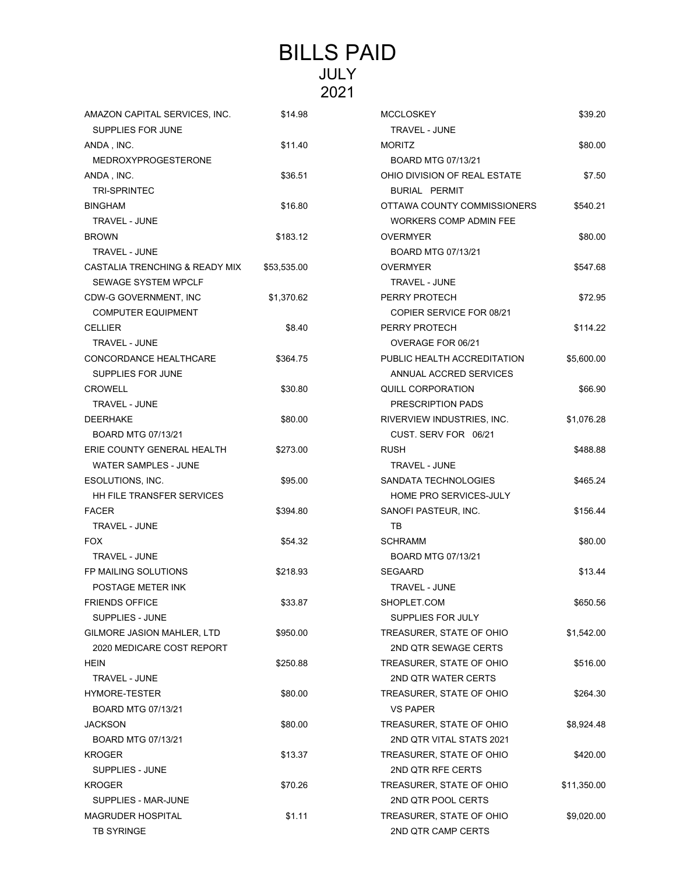## BILLS PAID JULY 2021

| AMAZON CAPITAL SERVICES, INC.<br>SUPPLIES FOR JUNE | \$14.98     | <b>MCCLOSKEY</b><br>TRAVEL - JUNE | \$39.20     |
|----------------------------------------------------|-------------|-----------------------------------|-------------|
| ANDA, INC.                                         | \$11.40     | <b>MORITZ</b>                     | \$80.00     |
| <b>MEDROXYPROGESTERONE</b>                         |             | BOARD MTG 07/13/21                |             |
| ANDA, INC.                                         | \$36.51     | OHIO DIVISION OF REAL ESTATE      | \$7.50      |
| <b>TRI-SPRINTEC</b>                                |             | BURIAL PERMIT                     |             |
| <b>BINGHAM</b>                                     | \$16.80     | OTTAWA COUNTY COMMISSIONERS       | \$540.21    |
| TRAVEL - JUNE                                      |             | <b>WORKERS COMP ADMIN FEE</b>     |             |
| <b>BROWN</b>                                       | \$183.12    | <b>OVERMYER</b>                   | \$80.00     |
| <b>TRAVEL - JUNE</b>                               |             | BOARD MTG 07/13/21                |             |
| CASTALIA TRENCHING & READY MIX                     | \$53,535.00 | <b>OVERMYER</b>                   | \$547.68    |
| <b>SEWAGE SYSTEM WPCLF</b>                         |             | TRAVEL - JUNE                     |             |
| CDW-G GOVERNMENT, INC                              | \$1,370.62  | PERRY PROTECH                     | \$72.95     |
| <b>COMPUTER EQUIPMENT</b>                          |             | <b>COPIER SERVICE FOR 08/21</b>   |             |
| <b>CELLIER</b>                                     | \$8.40      | PERRY PROTECH                     | \$114.22    |
| TRAVEL - JUNE                                      |             | OVERAGE FOR 06/21                 |             |
| CONCORDANCE HEALTHCARE                             | \$364.75    | PUBLIC HEALTH ACCREDITATION       | \$5,600.00  |
| SUPPLIES FOR JUNE                                  |             | ANNUAL ACCRED SERVICES            |             |
| <b>CROWELL</b>                                     | \$30.80     | <b>QUILL CORPORATION</b>          | \$66.90     |
| <b>TRAVEL - JUNE</b>                               |             | PRESCRIPTION PADS                 |             |
| <b>DEERHAKE</b>                                    | \$80.00     | RIVERVIEW INDUSTRIES, INC.        | \$1,076.28  |
| BOARD MTG 07/13/21                                 |             | CUST. SERV FOR 06/21              |             |
| ERIE COUNTY GENERAL HEALTH                         | \$273.00    | <b>RUSH</b>                       | \$488.88    |
| <b>WATER SAMPLES - JUNE</b>                        |             | <b>TRAVEL - JUNE</b>              |             |
| ESOLUTIONS, INC.                                   | \$95.00     | SANDATA TECHNOLOGIES              | \$465.24    |
| HH FILE TRANSFER SERVICES                          |             | HOME PRO SERVICES-JULY            |             |
| <b>FACER</b>                                       | \$394.80    | SANOFI PASTEUR, INC.              | \$156.44    |
| <b>TRAVEL - JUNE</b>                               |             | TB                                |             |
| <b>FOX</b>                                         | \$54.32     | <b>SCHRAMM</b>                    | \$80.00     |
| <b>TRAVEL - JUNE</b>                               |             | BOARD MTG 07/13/21                |             |
| FP MAILING SOLUTIONS                               | \$218.93    | <b>SEGAARD</b>                    | \$13.44     |
| POSTAGE METER INK                                  |             | <b>TRAVEL - JUNE</b>              |             |
| FRIENDS OFFICE                                     | \$33.87     | SHOPLET.COM                       | \$650.56    |
| <b>SUPPLIES - JUNE</b>                             |             | SUPPLIES FOR JULY                 |             |
| GILMORE JASION MAHLER, LTD                         | \$950.00    | TREASURER, STATE OF OHIO          | \$1,542.00  |
| 2020 MEDICARE COST REPORT                          |             | 2ND QTR SEWAGE CERTS              |             |
| HEIN                                               | \$250.88    | TREASURER, STATE OF OHIO          | \$516.00    |
| <b>TRAVEL - JUNE</b>                               |             | 2ND QTR WATER CERTS               |             |
| HYMORE-TESTER                                      | \$80.00     | TREASURER, STATE OF OHIO          | \$264.30    |
| BOARD MTG 07/13/21                                 |             | <b>VS PAPER</b>                   |             |
| <b>JACKSON</b>                                     | \$80.00     | TREASURER, STATE OF OHIO          | \$8,924.48  |
| BOARD MTG 07/13/21                                 |             | 2ND QTR VITAL STATS 2021          |             |
| <b>KROGER</b>                                      | \$13.37     | TREASURER, STATE OF OHIO          | \$420.00    |
| SUPPLIES - JUNE                                    |             | 2ND QTR RFE CERTS                 |             |
| <b>KROGER</b>                                      | \$70.26     | TREASURER, STATE OF OHIO          | \$11,350.00 |
| SUPPLIES - MAR-JUNE                                |             | 2ND QTR POOL CERTS                |             |
| <b>MAGRUDER HOSPITAL</b>                           | \$1.11      | TREASURER, STATE OF OHIO          | \$9,020.00  |
| <b>TB SYRINGE</b>                                  |             | 2ND QTR CAMP CERTS                |             |

| MCCLOSKEY                     | \$39.20     |
|-------------------------------|-------------|
| <b>TRAVEL - JUNE</b>          |             |
| <b>MORITZ</b>                 | \$80.00     |
| BOARD MTG 07/13/21            |             |
| OHIO DIVISION OF REAL ESTATE  | \$7.50      |
| <b>BURIAL PERMIT</b>          |             |
| OTTAWA COUNTY COMMISSIONERS   | \$540.21    |
| <b>WORKERS COMP ADMIN FEE</b> |             |
| <b>OVERMYER</b>               | \$80.00     |
| BOARD MTG 07/13/21            |             |
| OVERMYER                      | \$547.68    |
| <b>TRAVEL - JUNE</b>          |             |
| PERRY PROTECH                 | \$72.95     |
| COPIER SERVICE FOR 08/21      |             |
| PERRY PROTECH                 | \$114.22    |
| OVERAGE FOR 06/21             |             |
| PUBLIC HEALTH ACCREDITATION   | \$5,600.00  |
| ANNUAL ACCRED SERVICES        |             |
| QUILL CORPORATION             | \$66.90     |
| PRESCRIPTION PADS             |             |
| RIVERVIEW INDUSTRIES. INC.    | \$1,076.28  |
| CUST. SERV FOR 06/21          |             |
|                               |             |
| RUSH<br><b>TRAVEL - JUNE</b>  | \$488.88    |
|                               |             |
| <b>SANDATA TECHNOLOGIES</b>   | \$465.24    |
| HOME PRO SERVICES-JULY        |             |
| SANOFI PASTEUR, INC.          | \$156.44    |
| тв                            |             |
| SCHRAMM                       | \$80.00     |
| BOARD MTG 07/13/21            |             |
| SEGAARD                       | \$13.44     |
| TRAVEL - JUNE                 |             |
| SHOPLET.COM                   | \$650.56    |
| SUPPLIES FOR JULY             |             |
| TREASURER, STATE OF OHIO      | \$1,542.00  |
| 2ND QTR SEWAGE CERTS          |             |
| TREASURER, STATE OF OHIO      | \$516.00    |
| 2ND QTR WATER CERTS           |             |
| TREASURER, STATE OF OHIO      | \$264.30    |
| <b>VS PAPER</b>               |             |
| TREASURER, STATE OF OHIO      | \$8,924.48  |
| 2ND OTR VITAL STATS 2021      |             |
| TREASURER, STATE OF OHIO      | \$420.00    |
| 2ND QTR RFE CERTS             |             |
| TREASURER, STATE OF OHIO      | \$11,350.00 |
| 2ND QTR POOL CERTS            |             |